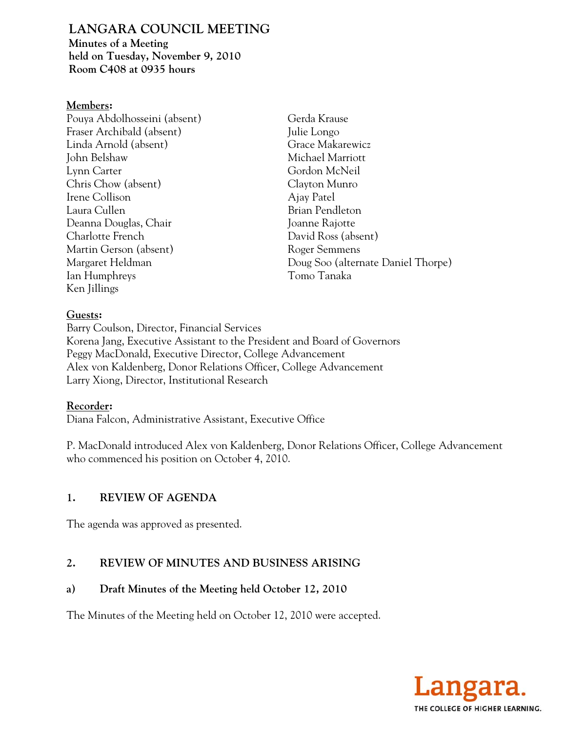# **LANGARA COUNCIL MEETING**

**Minutes of a Meeting held on Tuesday, November 9, 2010 Room C408 at 0935 hours** 

#### **Members:**

Pouya Abdolhosseini (absent) Fraser Archibald (absent) Linda Arnold (absent) John Belshaw Lynn Carter Chris Chow (absent) Irene Collison Laura Cullen Deanna Douglas, Chair Charlotte French Martin Gerson (absent) Margaret Heldman Ian Humphreys Ken Jillings

Gerda Krause Julie Longo Grace Makarewicz Michael Marriott Gordon McNeil Clayton Munro Ajay Patel Brian Pendleton Joanne Rajotte David Ross (absent) Roger Semmens Doug Soo (alternate Daniel Thorpe) Tomo Tanaka

### **Guests:**

Barry Coulson, Director, Financial Services Korena Jang, Executive Assistant to the President and Board of Governors Peggy MacDonald, Executive Director, College Advancement Alex von Kaldenberg, Donor Relations Officer, College Advancement Larry Xiong, Director, Institutional Research

### **Recorder:**

Diana Falcon, Administrative Assistant, Executive Office

P. MacDonald introduced Alex von Kaldenberg, Donor Relations Officer, College Advancement who commenced his position on October 4, 2010.

### **1. REVIEW OF AGENDA**

The agenda was approved as presented.

## **2. REVIEW OF MINUTES AND BUSINESS ARISING**

### **a) Draft Minutes of the Meeting held October 12, 2010**

The Minutes of the Meeting held on October 12, 2010 were accepted.

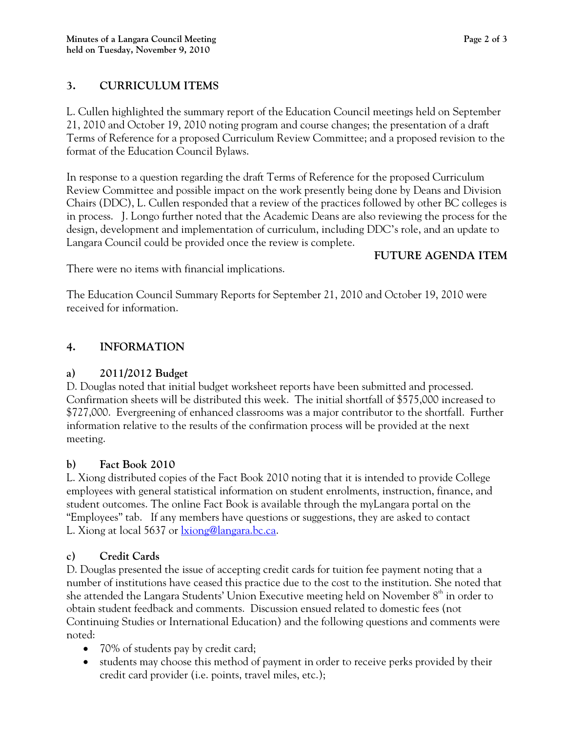## **3. CURRICULUM ITEMS**

L. Cullen highlighted the summary report of the Education Council meetings held on September 21, 2010 and October 19, 2010 noting program and course changes; the presentation of a draft Terms of Reference for a proposed Curriculum Review Committee; and a proposed revision to the format of the Education Council Bylaws.

In response to a question regarding the draft Terms of Reference for the proposed Curriculum Review Committee and possible impact on the work presently being done by Deans and Division Chairs (DDC), L. Cullen responded that a review of the practices followed by other BC colleges is in process. J. Longo further noted that the Academic Deans are also reviewing the process for the design, development and implementation of curriculum, including DDC's role, and an update to Langara Council could be provided once the review is complete.

### **FUTURE AGENDA ITEM**

There were no items with financial implications.

The Education Council Summary Reports for September 21, 2010 and October 19, 2010 were received for information.

## **4. INFORMATION**

## **a) 2011/2012 Budget**

D. Douglas noted that initial budget worksheet reports have been submitted and processed. Confirmation sheets will be distributed this week. The initial shortfall of \$575,000 increased to \$727,000. Evergreening of enhanced classrooms was a major contributor to the shortfall. Further information relative to the results of the confirmation process will be provided at the next meeting.

### **b) Fact Book 2010**

L. Xiong distributed copies of the Fact Book 2010 noting that it is intended to provide College employees with general statistical information on student enrolments, instruction, finance, and student outcomes. The online Fact Book is available through the myLangara portal on the "Employees" tab. If any members have questions or suggestions, they are asked to contact L. Xiong at local 5637 or lxiong@langara.bc.ca.

## **c) Credit Cards**

D. Douglas presented the issue of accepting credit cards for tuition fee payment noting that a number of institutions have ceased this practice due to the cost to the institution. She noted that she attended the Langara Students' Union Executive meeting held on November  $8<sup>th</sup>$  in order to obtain student feedback and comments. Discussion ensued related to domestic fees (not Continuing Studies or International Education) and the following questions and comments were noted:

- 70% of students pay by credit card;
- students may choose this method of payment in order to receive perks provided by their credit card provider (i.e. points, travel miles, etc.);